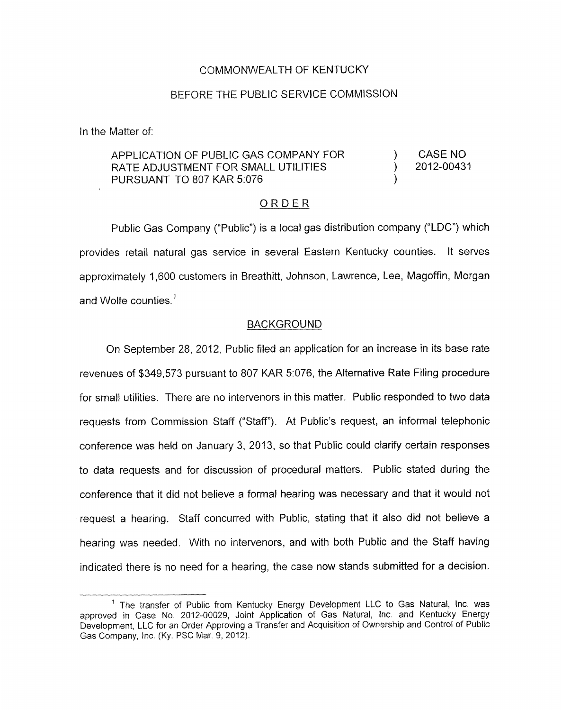## COMMONWEALTH OF KENTUCKY

## BEFORE THE PUBLIC SERVICE COMMISSION

In the Matter of:

## APPLICATION OF PUBLIC GAS COMPANY FOR  $\overline{)}$  CASE NO RATE ADJUSTMENT FOR SMALL UTILITIES (2012-00431 PURSUANT TO 807 KAR 5:076

## ORDER

Public Gas Company ("Public") is a local gas distribution company ("LDC") which provides retail natural gas service in several Eastern Kentucky counties. It serves approximately 1,600 customers in Breathitt, Johnson, Lawrence, Lee, Magoffin, Morgan and Wolfe counties.'

## BACKGROUND

On September 28, 2012, Public filed an application for an increase in its base rate revenues of \$349,573 pursuant to 807 KAR 5:076, the Alternative Rate Filing procedure for small utilities. There are no intervenors in this matter. Public responded to two data requests from Commission Staff ("Staff'). At Public's request, an informal telephonic conference was held on January 3, 2013, so that Public could clarify certain responses to data requests and for discussion of procedural matters. Public stated during the conference that it did not believe a formal hearing was necessary and that it would not request a hearing. Staff concurred with Public, stating that it also did not believe a hearing was needed. With no intervenors, and with both Public and the Staff having indicated there is no need for a hearing, the case now stands submitted for a decision.

<sup>&</sup>lt;sup>1</sup> The transfer of Public from Kentucky Energy Development LLC to Gas Natural, Inc. was approved in Case No 2012-00029, Joint Application of Gas Natural, Inc. and Kentucky Energy Development, LLC for an Order Approving a Transfer and Acquisition *of* Ownership and Control of Public Gas Company, Inc. (Ky. PSC Mar. 9, 2012).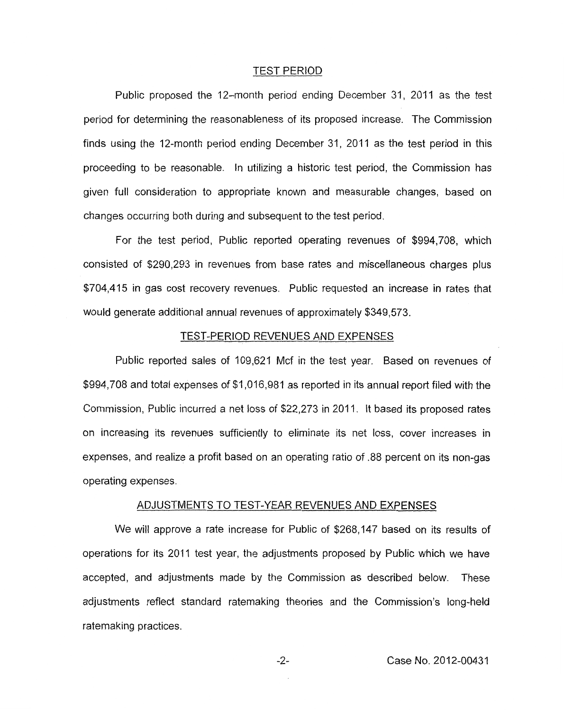#### TEST PERIOD

Public proposed the 12-month period ending December 31, 2011 as the test period for determining the reasonableness of its proposed increase. The Commission finds using the 12-month period ending December 31, 2011 as the test period in this proceeding to be reasonable. In utilizing a historic test period, the Commission has given full consideration to appropriate known and measurable changes, based on changes occurring both during and subsequent to the test period.

For the test period, Public reported operating revenues of \$994,708, which consisted of \$290,293 in revenues from base rates and miscellaneous charges plus \$704,415 in gas cost recovery revenues. Public requested an increase in rates that would generate additional annual revenues of approximately \$349,573.

#### TEST-PERIOD REVENUES AND EXPENSES

Public reported sales of 109,621 Mcf in the test year. Based on revenues of \$994,708 and total expenses of \$1,016,981 as reported in its annual report filed with the Commission, Public incurred a net loss of \$22,273 in 2011. It based its proposed rates on increasing its revenues sufficiently to eliminate its net loss, cover increases in expenses, and realize a profit based on an operating ratio of .88 percent on its non-gas operating expenses.

#### ADJUSTMENTS TO TEST-YEAR REVENUES AND EXPENSES

We will approve a rate increase for Public of \$268,147 based on its results of operations for its 2011 test year, the adjustments proposed by Public which we have accepted, and adjustments made by the Commission as described below. These adjustments reflect standard ratemaking theories and the Commission's long-held ratemaking practices.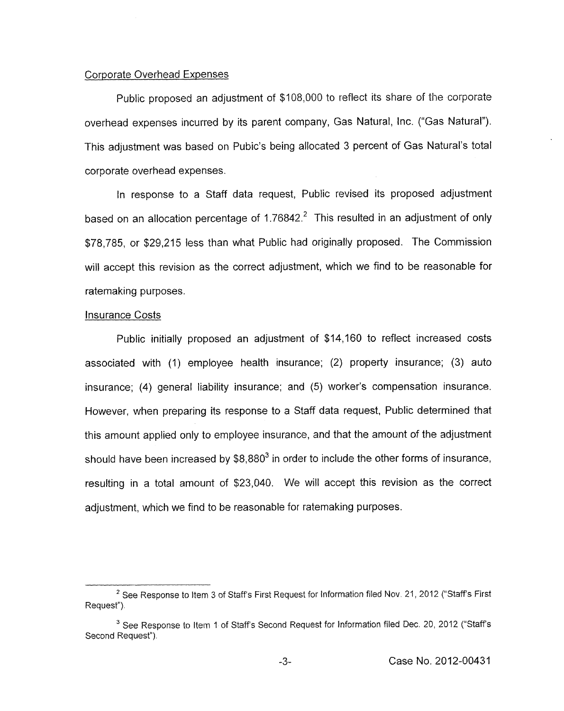## Corporate Overhead Expenses

Public proposed an adjustment of \$108,000 to reflect its share of the corporate overhead expenses incurred by its parent company, Gas Natural, Inc. ("Gas Natural"). This adjustment was based on Pubic's being allocated 3 percent of Gas Natural's total corporate overhead expenses.

In response to a Staff data request, Public revised its proposed adjustment based on an allocation percentage of  $1.76842<sup>2</sup>$  This resulted in an adjustment of only \$78,785, or \$29,215 less than what Public had originally proposed. The Commission will accept this revision as the correct adjustment, which we find to be reasonable for ratemaking purposes.

#### Insurance Costs

Public initially proposed an adjustment of \$14,160 to reflect increased costs associated with (1) employee health insurance; (2) property insurance; (3) auto insurance; **(4)** general liability insurance; and (5) worker's compensation insurance. However, when preparing its response to a Staff data request, Public determined that this amount applied only to employee insurance, and that the amount of the adjustment should have been increased by  $$8,880^3$  in order to include the other forms of insurance, resulting in a total amount of \$23,040. We will accept this revision as the correct adjustment, which we find to be reasonable for ratemaking purposes.

<sup>&</sup>lt;sup>2</sup> See Response to Item 3 of Staff's First Request for Information filed Nov. 21, 2012 ("Staff's First Request").

<sup>&</sup>lt;sup>3</sup> See Response to Item 1 of Staff's Second Request for Information filed Dec. 20, 2012 ("Staff's Second Request").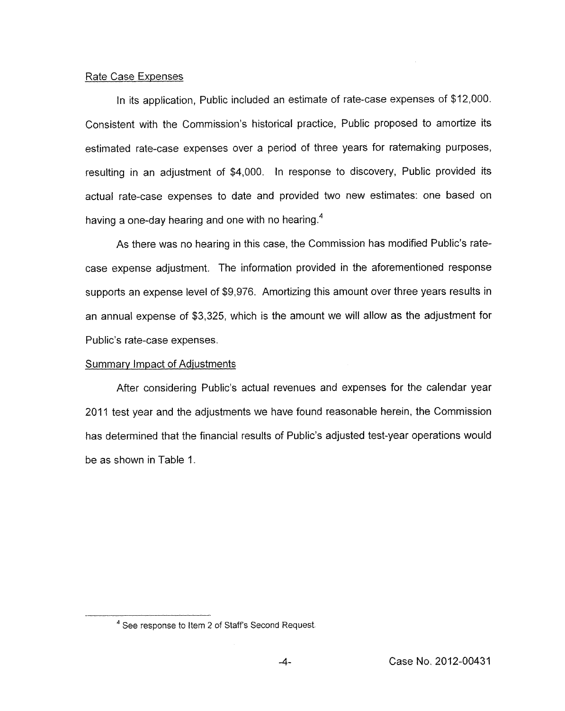## Rate Case Expenses

In its application, Public included an estimate of rate-case expenses of \$12,000. Consistent with the Commission's historical practice, Public proposed to amortize its estimated rate-case expenses over a period of three years for ratemaking purposes, resulting in an adjustment of \$4,000. In response to discovery, Public provided its actual rate-case expenses to date and provided two new estimates: one based on having a one-day hearing and one with no hearing.4

As there was no hearing in this case, the Commission has modified Public's ratecase expense adjustment. The information provided in the aforementioned response supports an expense level of \$9,976. Amortizing this amount over three years results in an annual expense of \$3,325, which is the amount we will allow as the adjustment for Public's rate-case expenses.

## Summary Impact of Adjustments

After considering Public's actual revenues and expenses for the calendar year 2011 test year and the adjustments we have found reasonable herein, the Commission has determined that the financial results of Public's adjusted test-year operations would be as shown in [Table](#page-4-0) 1.

<sup>&</sup>lt;sup>4</sup> See response to Item 2 of Staff's Second Request.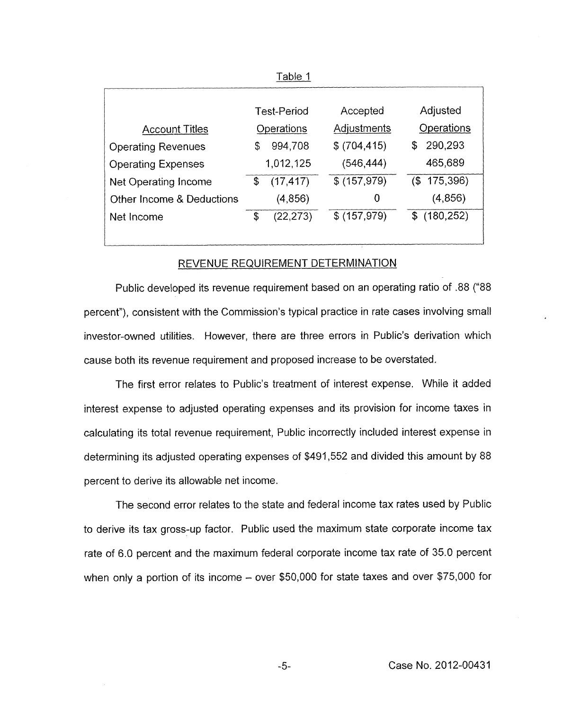<span id="page-4-0"></span>

|                           | Table 1            |              |   |                |
|---------------------------|--------------------|--------------|---|----------------|
|                           |                    |              |   |                |
|                           | <b>Test-Period</b> | Accepted     |   | Adjusted       |
| <b>Account Titles</b>     | Operations         | Adjustments  |   | Operations     |
| <b>Operating Revenues</b> | \$<br>994,708      | \$(704, 415) |   | \$<br>290,293  |
| <b>Operating Expenses</b> | 1,012,125          | (546, 444)   |   | 465,689        |
| Net Operating Income      | \$<br>(17, 417)    | \$(157,979)  |   | $($ \$175,396) |
| Other Income & Deductions | (4,856)            |              | 0 | (4, 856)       |
| Net Income                | \$<br>(22, 273)    | \$(157,979)  |   | \$(180, 252)   |
|                           |                    |              |   |                |

#### REVENUE REQUIREMENT DETERMINATION

Public developed its revenue requirement based on an operating ratio of .88 (''88 percent"), consistent with the Commission's typical practice in rate cases involving small investor-owned utilities. However, there are three errors in Public's derivation which cause both its revenue requirement and proposed increase to be overstated.

The first error relates to Public's treatment of interest expense. While it added interest expense to adjusted operating expenses and its provision for income taxes in calculating its total revenue requirement, Public incorrectly included interest expense in determining its adjusted operating expenses of \$491,552 and divided this amount by 88 percent to derive its allowable net income.

The second error relates to the state and federal income tax rates used by Public to derive its tax gross-up factor. Public used the maximum state corporate income tax rate of 6.0 percent and the maximum federal corporate income tax rate of 35.0 percent when only a portion of its income  $-$  over \$50,000 for state taxes and over \$75,000 for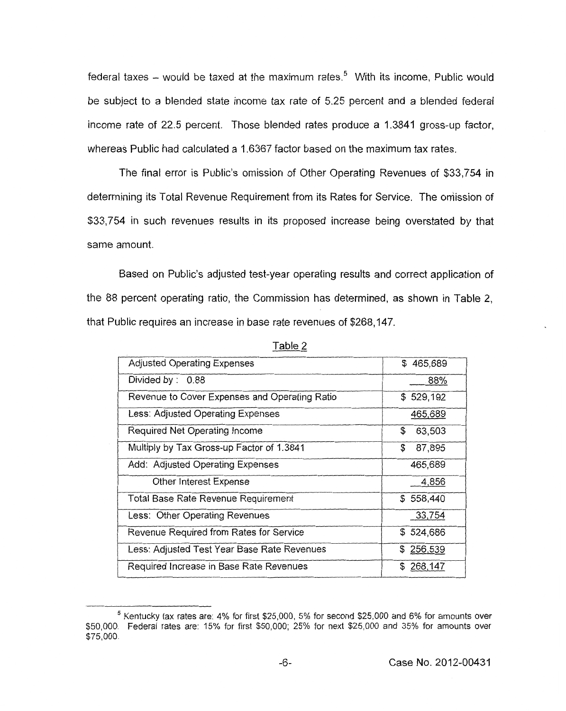federal taxes  $-$  would be taxed at the maximum rates.<sup>5</sup> With its income, Public would be subject to a blended state income tax rate of 5.25 percent and a blended federal income rate of 22.5 percent. Those blended rates produce a 1.3841 gross-up factor, whereas Public had calculated a 1.6367 factor based on the maximum tax rates.

The final error is Public's omission of Other Operating Revenues of \$33,754 in determining its Total Revenue Requirement from its Rates for Service. The omission of \$33,754 in such revenues results in its proposed increase being overstated by that same amount.

Based on Public's adjusted test-year operating results and correct application of the 88 percent operating ratio, the Commission has determined, as shown in Table 2, that Public requires an increase in base rate revenues of \$268,147.

| <b>Adjusted Operating Expenses</b>            | \$465,689     |
|-----------------------------------------------|---------------|
| Divided by: 0.88                              | 88%           |
| Revenue to Cover Expenses and Operating Ratio | \$529,192     |
| Less: Adjusted Operating Expenses             | 465,689       |
| Required Net Operating Income                 | \$<br>63,503  |
| Multiply by Tax Gross-up Factor of 1.3841     | \$<br>87,895  |
| Add: Adjusted Operating Expenses              | 465,689       |
| Other Interest Expense                        | 4,856         |
| Total Base Rate Revenue Requirement           | \$558,440     |
| Less: Other Operating Revenues                | 33,754        |
| Revenue Required from Rates for Service       | \$524,686     |
| Less: Adjusted Test Year Base Rate Revenues   | \$256,539     |
| Required Increase in Base Rate Revenues       | 268,147<br>æ. |

Table 2

 $^5$  Kentucky tax rates are: 4% for first \$25,000, 5% for second \$25,000 and 6% for amounts over \$50,000. Federal rates are: 15% for first \$50,000; 25% for next \$25,000 and 35% for amounts over *\$75,000.*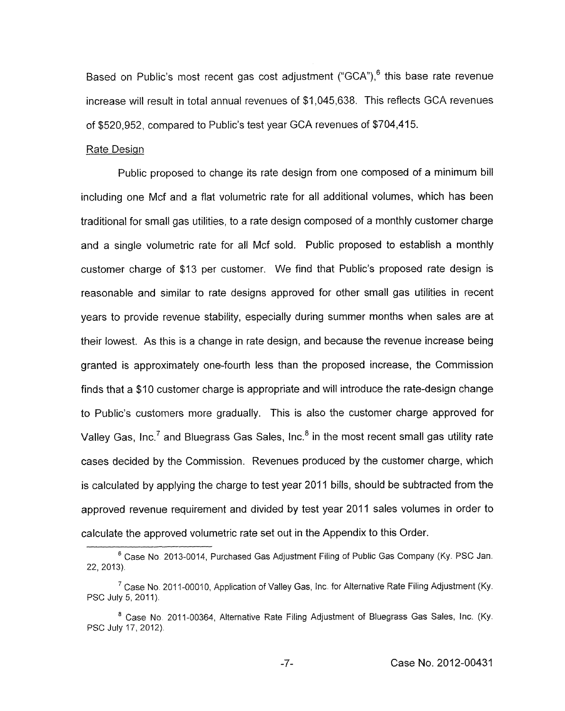Based on Public's most recent gas cost adjustment ("GCA"), $<sup>6</sup>$  this base rate revenue</sup> increase will result in total annual revenues of \$1,045,638. This reflects GCA revenues of \$520,952, compared to Public's test year GCA revenues of \$704,415.

### Rate Design

Public proposed to change its rate design from one composed of a minimum bill including one Mcf and a flat volumetric rate for all additional volumes, which has been traditional for small gas utilities, to a rate design composed of a monthly customer charge and a single volumetric rate for all Mcf sold. Public proposed to establish a monthly customer charge of \$13 per customer. We find that Public's proposed rate design is reasonable and similar to rate designs approved for other small gas utilities in recent years to provide revenue stability, especially during summer months when sales are at their lowest. As this is a change in rate design, and because the revenue increase being granted is approximately one-fourth less than the proposed increase, the Commission finds that a \$10 customer charge is appropriate and will introduce the rate-design change to Public's customers more gradually. This is also the customer charge approved for Valley Gas, Inc.<sup>7</sup> and Bluegrass Gas Sales, Inc.<sup>8</sup> in the most recent small gas utility rate cases decided by the Commission. Revenues produced by the customer charge, which is calculated by applying the charge to test year 2011 bills, should be subtracted from the approved revenue requirement and divided by test year 2011 sales volumes in order to calculate the approved volumetric rate set out in the Appendix to this Order.

Case No 2013-0014, Purchased Gas Adjustment Filing of Public Gas Company **(Ky.** PSC Jan. *6*  22, 2013).

<sup>&</sup>lt;sup>7</sup> Case No. 2011-00010, Application of Valley Gas, Inc. for Alternative Rate Filing Adjustment (Ky. PSC July 5, 2011).

<sup>&</sup>lt;sup>8</sup> Case No. 2011-00364, Alternative Rate Filing Adjustment of Bluegrass Gas Sales, Inc. (Ky. PSC July 17, 2012).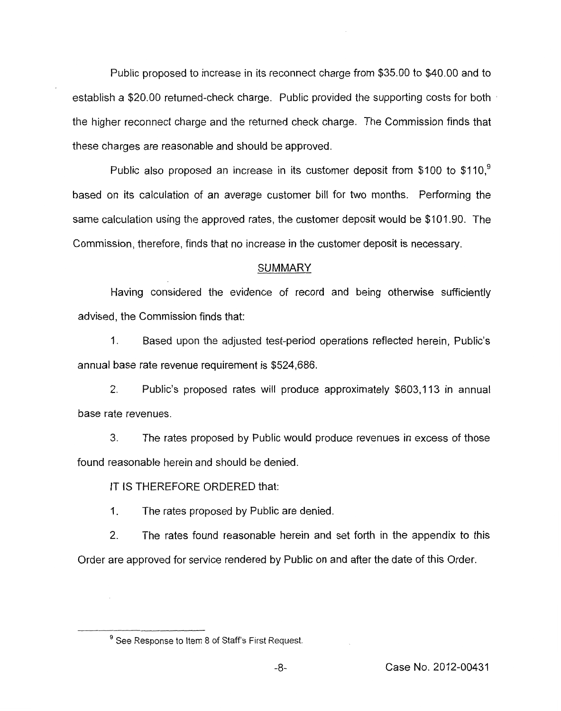Public proposed to increase in its reconnect charge from \$35.00 to \$40.00 and to establish a \$20.00 returned-check charge. Public provided the supporting costs for both the higher reconnect charge and the returned check charge. The Commission finds that these charges are reasonable and should be approved.

Public also proposed an increase in its customer deposit from \$100 to  $$110<sup>9</sup>$ based on its calculation of an average customer bill for two months. Performing the same calculation using the approved rates, the customer deposit would be \$101.90. The Commission, therefore, finds that no increase in the customer deposit is necessary.

### SUMMARY

Having considered the evidence *of* record and being otherwise sufficiently advised, the Commission finds that:

1. Based upon the adjusted test-period operations reflected herein, Public's annual base rate revenue requirement is \$524,686.

2. Public's proposed rates will produce approximately \$603,113 in annual base rate revenues.

*3.* The rates proposed by Public would produce revenues in excess of those found reasonable herein and should be denied.

IT IS THEREFORE ORDERED that:

1. The rates proposed by Public are denied.

2. The rates found reasonable herein and set forth in the appendix to this Order are approved for service rendered by Public on and after the date of this Order.

<sup>&</sup>lt;sup>9</sup> See Response to Item 8 of Staff's First Request.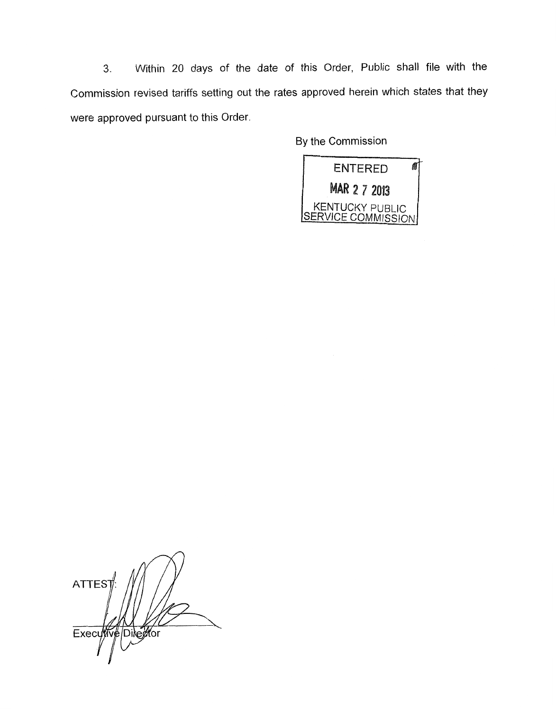**3.** Within 20 days of the date of this Order, Public shall file with the Commission revised tariffs setting out the rates approved herein which states that they were approved pursuant to this Order.

By the Commission



**ATTEST** Executive Director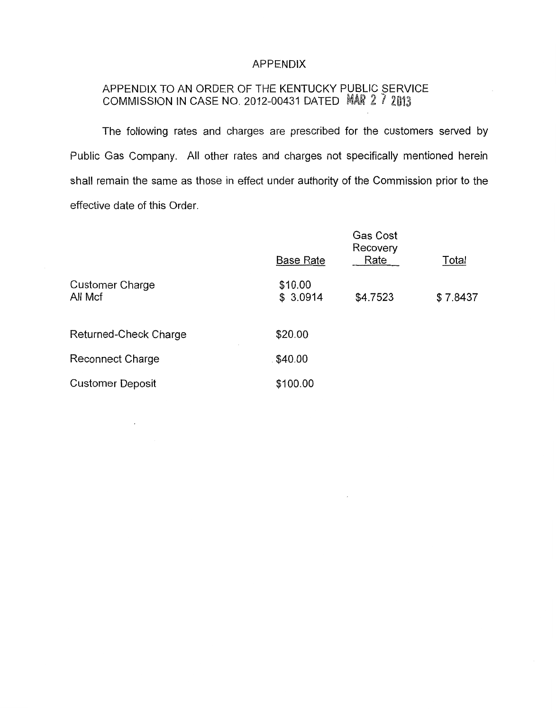## APPENDIX

# APPENDIX TO AN ORDER OF THE KENTUCKY PUBLIC SERVICE COMMISSION IN CASE NO. 2012-00431 DATED MAR 2 7 2013

The following rates and charges are prescribed for the customers served by Public Gas Company. All other rates and charges not specifically mentioned herein shall remain the same as those in effect under authority of the Commission prior to the effective date of this Order.

|                                   | Gas Cost<br>Recovery |          |          |  |  |
|-----------------------------------|----------------------|----------|----------|--|--|
|                                   | <b>Base Rate</b>     | Rate     | Total    |  |  |
| <b>Customer Charge</b><br>All Mcf | \$10.00<br>\$3.0914  | \$4.7523 | \$7.8437 |  |  |
| Returned-Check Charge             | \$20.00              |          |          |  |  |
| Reconnect Charge                  | \$40.00              |          |          |  |  |
| <b>Customer Deposit</b>           | \$100.00             |          |          |  |  |